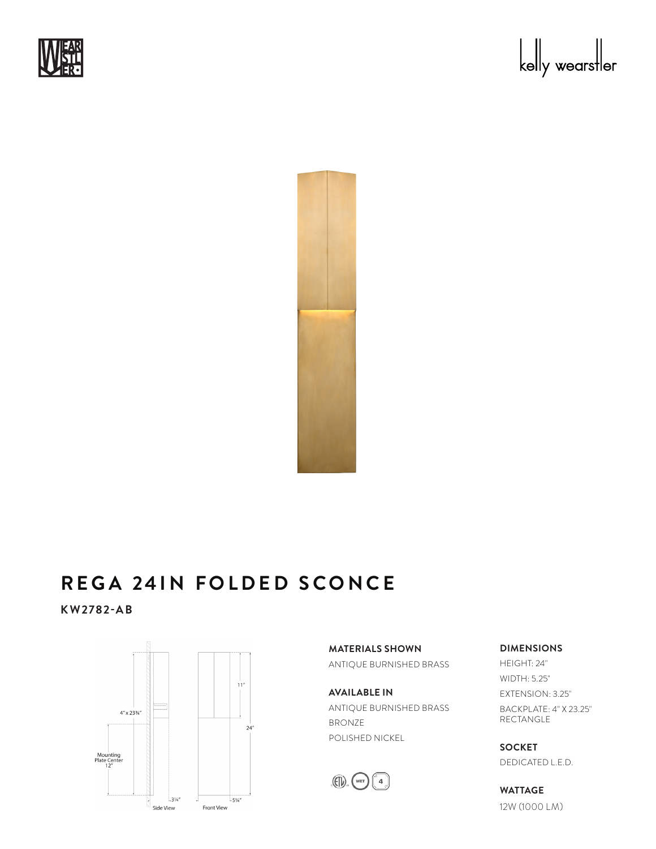





## REGA 24IN FOLDED SCONCE : 9a za

**KW2782-AB**



**MATERIALS SHOWN** ANTIQUE BURNISHED BRASS

**AVAILABLE IN** ANTIQUE BURNISHED BRASS BRONZE POLISHED NICKEL



**DIMENSIONS**

HEIGHT: 24" WIDTH: 5.25" EXTENSION: 3.25" BACKPLATE: 4" X 23.25" RECTANGLE

**SOCKET** DEDICATED L.E.D.

**WATTAGE** 12W (1000 LM)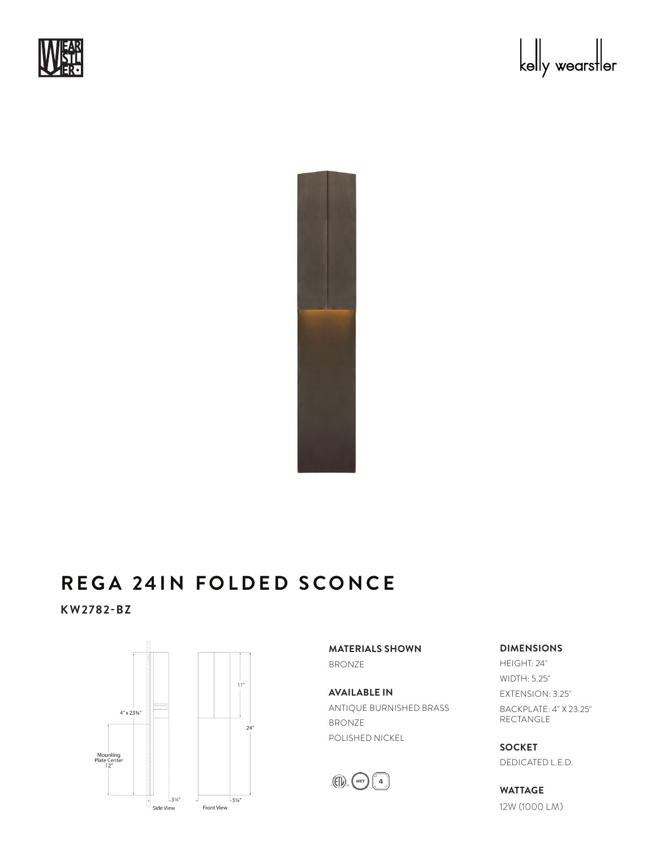





## REGA 24IN FOLDED SCONCE : 9a za

**KW2782-BZ**



**MATERIALS SHOWN** BRONZE

**AVAILABLE IN** ANTIQUE BURNISHED BRASS BRONZE POLISHED NICKEL



**DIMENSIONS**

HEIGHT: 24" WIDTH: 5.25" EXTENSION: 3.25" BACKPLATE: 4" X 23.25" RECTANGLE

**SOCKET** DEDICATED L.E.D.

**WATTAGE** 12W (1000 LM)